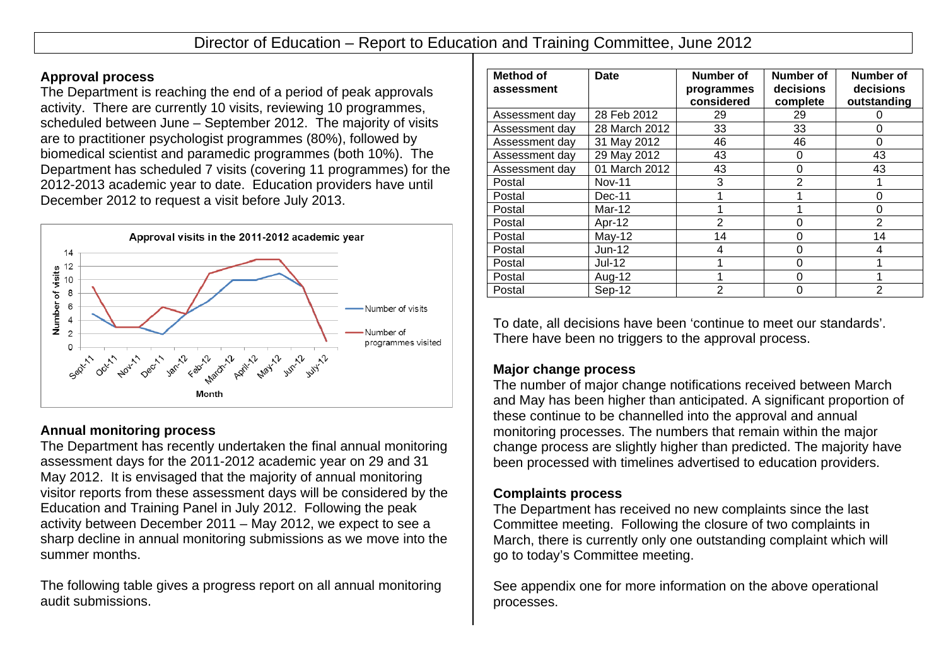### **Approval process**

The Department is reaching the end of a period of peak approvals activity. There are currently 10 visits, reviewing 10 programmes, scheduled between June – September 2012. The majority of visits are to practitioner psychologist programmes (80%), followed by biomedical scientist and paramedic programmes (both 10%). The Department has scheduled 7 visits (covering 11 programmes) for the 2012-2013 academic year to date. Education providers have until December 2012 to request a visit before July 2013.



# **Annual monitoring process**

The Department has recently undertaken the final annual monitoring assessment days for the 2011-2012 academic year on 29 and 31 May 2012. It is envisaged that the majority of annual monitoring visitor reports from these assessment days will be considered by the Education and Training Panel in July 2012. Following the peak activity between December 2011 – May 2012, we expect to see a sharp decline in annual monitoring submissions as we move into the summer months.

The following table gives a progress report on all annual monitoring audit submissions.

| Method of<br>assessment | <b>Date</b>   | Number of<br>programmes<br>considered | Number of<br>decisions<br>complete | Number of<br>decisions<br>outstanding |
|-------------------------|---------------|---------------------------------------|------------------------------------|---------------------------------------|
| Assessment day          | 28 Feb 2012   | 29                                    | 29                                 |                                       |
| Assessment day          | 28 March 2012 | 33                                    | 33                                 | Ω                                     |
| Assessment day          | 31 May 2012   | 46                                    | 46                                 | ი                                     |
| Assessment day          | 29 May 2012   | 43                                    | 0                                  | 43                                    |
| Assessment day          | 01 March 2012 | 43                                    | 0                                  | 43                                    |
| Postal                  | <b>Nov-11</b> | 3                                     | $\overline{2}$                     |                                       |
| Postal                  | $Dec-11$      |                                       |                                    | ი                                     |
| Postal                  | $Mar-12$      |                                       |                                    | ი                                     |
| Postal                  | Apr-12        | 2                                     | 0                                  | $\mathcal{P}$                         |
| Postal                  | $May-12$      | 14                                    | 0                                  | 14                                    |
| Postal                  | $Jun-12$      | 4                                     | 0                                  | 4                                     |
| Postal                  | <b>Jul-12</b> |                                       | 0                                  |                                       |
| Postal                  | Aug-12        |                                       | 0                                  |                                       |
| Postal                  | Sep-12        | $\overline{2}$                        | 0                                  | $\mathfrak{p}$                        |

To date, all decisions have been 'continue to meet our standards'. There have been no triggers to the approval process.

## **Major change process**

The number of major change notifications received between March and May has been higher than anticipated. A significant proportion of these continue to be channelled into the approval and annual monitoring processes. The numbers that remain within the major change process are slightly higher than predicted. The majority have been processed with timelines advertised to education providers.

## **Complaints process**

The Department has received no new complaints since the last Committee meeting. Following the closure of two complaints in March, there is currently only one outstanding complaint which will go to today's Committee meeting.

See appendix one for more information on the above operational processes.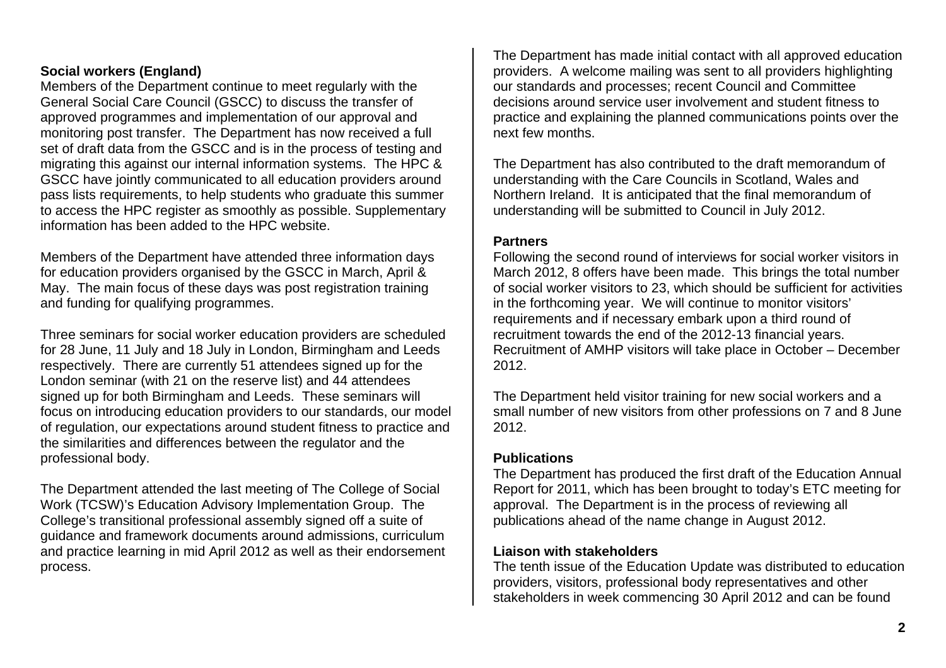## **Social workers (England)**

Members of the Department continue to meet regularly with the General Social Care Council (GSCC) to discuss the transfer of approved programmes and implementation of our approval and monitoring post transfer. The Department has now received a full set of draft data from the GSCC and is in the process of testing and migrating this against our internal information systems. The HPC & GSCC have jointly communicated to all education providers around pass lists requirements, to help students who graduate this summer to access the HPC register as smoothly as possible. Supplementary information has been added to the HPC website.

Members of the Department have attended three information days for education providers organised by the GSCC in March, April & May. The main focus of these days was post registration training and funding for qualifying programmes.

Three seminars for social worker education providers are scheduled for 28 June, 11 July and 18 July in London, Birmingham and Leeds respectively. There are currently 51 attendees signed up for the London seminar (with 21 on the reserve list) and 44 attendees signed up for both Birmingham and Leeds. These seminars will focus on introducing education providers to our standards, our model of regulation, our expectations around student fitness to practice and the similarities and differences between the regulator and the professional body.

The Department attended the last meeting of The College of Social Work (TCSW)'s Education Advisory Implementation Group. The College's transitional professional assembly signed off a suite of guidance and framework documents around admissions, curriculum and practice learning in mid April 2012 as well as their endorsement process.

The Department has made initial contact with all approved education providers. A welcome mailing was sent to all providers highlighting our standards and processes; recent Council and Committee decisions around service user involvement and student fitness to practice and explaining the planned communications points over the next few months.

The Department has also contributed to the draft memorandum of understanding with the Care Councils in Scotland, Wales and Northern Ireland. It is anticipated that the final memorandum of understanding will be submitted to Council in July 2012.

### **Partners**

Following the second round of interviews for social worker visitors in March 2012, 8 offers have been made. This brings the total number of social worker visitors to 23, which should be sufficient for activities in the forthcoming year. We will continue to monitor visitors' requirements and if necessary embark upon a third round of recruitment towards the end of the 2012-13 financial years. Recruitment of AMHP visitors will take place in October – December 2012.

The Department held visitor training for new social workers and a small number of new visitors from other professions on 7 and 8 June 2012.

### **Publications**

The Department has produced the first draft of the Education Annual Report for 2011, which has been brought to today's ETC meeting for approval. The Department is in the process of reviewing all publications ahead of the name change in August 2012.

### **Liaison with stakeholders**

The tenth issue of the Education Update was distributed to education providers, visitors, professional body representatives and other stakeholders in week commencing 30 April 2012 and can be found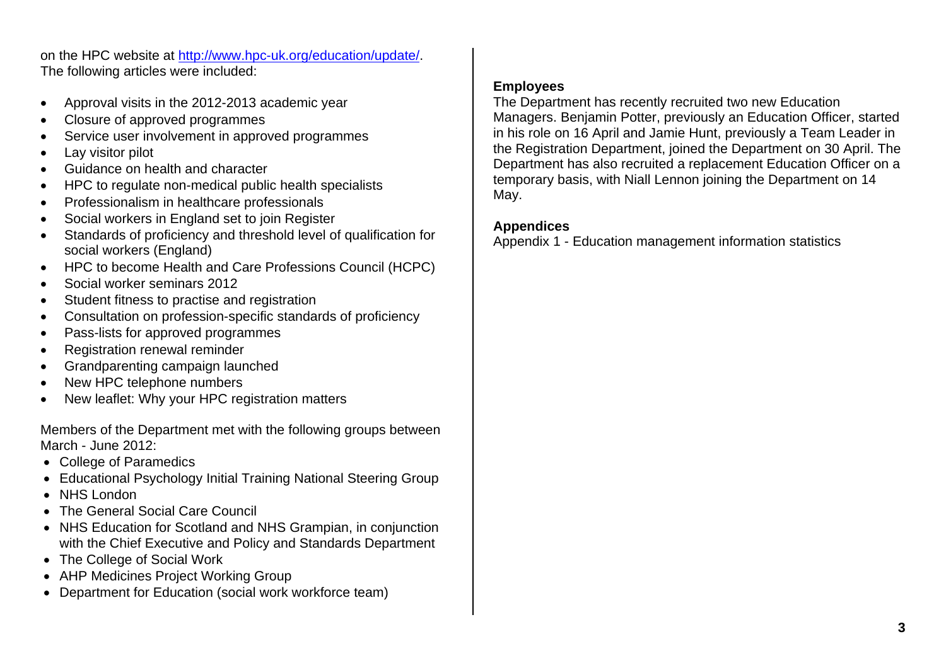on the HPC website at http://www.hpc-uk.org/education/update/. The following articles were included:

- Approval visits in the 2012-2013 academic year
- Closure of approved programmes
- Service user involvement in approved programmes
- Lay visitor pilot
- Guidance on health and character
- HPC to regulate non-medical public health specialists
- Professionalism in healthcare professionals
- Social workers in England set to join Register
- Standards of proficiency and threshold level of qualification for social workers (England)
- HPC to become Health and Care Professions Council (HCPC)
- Social worker seminars 2012
- Student fitness to practise and registration
- Consultation on profession-specific standards of proficiency
- Pass-lists for approved programmes
- Registration renewal reminder
- Grandparenting campaign launched
- New HPC telephone numbers
- New leaflet: Why your HPC registration matters

Members of the Department met with the following groups between March - June 2012:

- College of Paramedics
- Educational Psychology Initial Training National Steering Group
- NHS London
- The General Social Care Council
- NHS Education for Scotland and NHS Grampian, in conjunction with the Chief Executive and Policy and Standards Department
- The College of Social Work
- AHP Medicines Project Working Group
- Department for Education (social work workforce team)

### **Employees**

The Department has recently recruited two new Education Managers. Benjamin Potter, previously an Education Officer, started in his role on 16 April and Jamie Hunt, previously a Team Leader in the Registration Department, joined the Department on 30 April. The Department has also recruited a replacement Education Officer on a temporary basis, with Niall Lennon joining the Department on 14 May.

# **Appendices**

Appendix 1 - Education management information statistics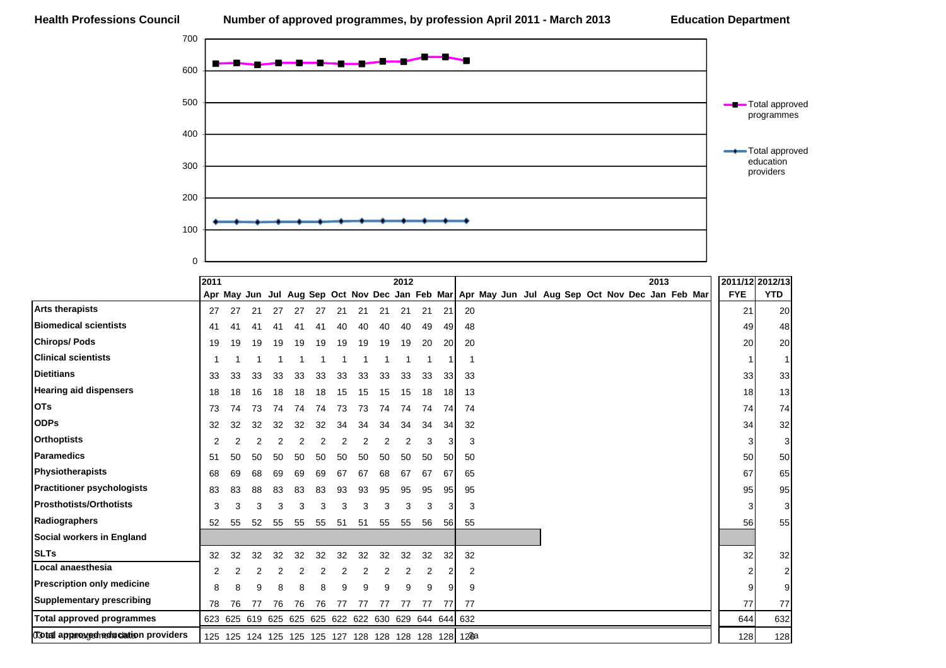

|                                           | 2011 |                                                         |    |    |    |    |    |    |    | 2012 |    |                 |    |  |  |  |  | 2013 |                                                                                                   | 2011/12 2012/13 |            |
|-------------------------------------------|------|---------------------------------------------------------|----|----|----|----|----|----|----|------|----|-----------------|----|--|--|--|--|------|---------------------------------------------------------------------------------------------------|-----------------|------------|
|                                           |      |                                                         |    |    |    |    |    |    |    |      |    |                 |    |  |  |  |  |      | Apr May Jun Jul Aug Sep Oct Nov Dec Jan Feb Mar   Apr May Jun Jul Aug Sep Oct Nov Dec Jan Feb Mar | <b>FYE</b>      | <b>YTD</b> |
| <b>Arts therapists</b>                    | 27   | 27                                                      | 21 | 27 | 27 |    |    | 21 | 21 | 21   | 21 | 21              | 20 |  |  |  |  |      |                                                                                                   | 21              | 20         |
| <b>Biomedical scientists</b>              | 41   | 41                                                      |    |    |    |    |    |    | 40 | 40   | 49 | 49              | 48 |  |  |  |  |      |                                                                                                   | 49              | 48         |
| <b>Chirops/Pods</b>                       | 19   | 19                                                      | 19 | 19 | 19 | 19 | 19 | 19 | 19 | 19   | 20 | <b>20</b>       | 20 |  |  |  |  |      |                                                                                                   | 20              | 20         |
| <b>Clinical scientists</b>                |      |                                                         |    |    |    |    |    |    |    |      |    |                 |    |  |  |  |  |      |                                                                                                   |                 |            |
| <b>Dietitians</b>                         | 33   | 33                                                      | 33 | 33 | 33 | 33 | 33 | 33 | 33 | 33   | 33 | 33              | 33 |  |  |  |  |      |                                                                                                   | 33              | 33         |
| <b>Hearing aid dispensers</b>             | 18   | 18                                                      | 16 | 18 | 18 | 18 | 15 | 15 | 15 | 15   | 18 | 18              | 13 |  |  |  |  |      |                                                                                                   | 18              | 13         |
| <b>OTs</b>                                | 73   | 74                                                      | 73 | 74 | 74 | 74 | 73 | 73 | 74 | 74   | 74 | 74              | 74 |  |  |  |  |      |                                                                                                   | 74              | 74         |
| <b>ODPs</b>                               | 32   | 32                                                      | 32 | 32 | 32 | 32 | 34 | 34 | 34 | 34   | 34 | 34              | 32 |  |  |  |  |      |                                                                                                   | 34              | 32         |
| <b>Orthoptists</b>                        | 2    |                                                         |    |    |    |    |    |    |    | 2    | 3  | 3               | 3  |  |  |  |  |      |                                                                                                   | 3               | 3          |
| <b>Paramedics</b>                         | 51   | 50                                                      | 50 | 50 | 50 | 50 | 50 | 50 | 50 | 50   | 50 | 50 <sub>l</sub> | 50 |  |  |  |  |      |                                                                                                   | 50              | 50         |
| Physiotherapists                          | 68   | 69                                                      | 68 | 69 | 69 | 69 | 67 | 67 | 68 | 67   | 67 | 67              | 65 |  |  |  |  |      |                                                                                                   | 67              | 65         |
| <b>Practitioner psychologists</b>         | 83   | 83                                                      | 88 | 83 | 83 | 83 | 93 | 93 | 95 | 95   | 95 | 95              | 95 |  |  |  |  |      |                                                                                                   | 95              | 95         |
| <b>Prosthotists/Orthotists</b>            | 3    | 3                                                       | 3  | 3  | 3  | 3  |    | з  | 3  | 3    | 3  | 3               | 3  |  |  |  |  |      |                                                                                                   |                 | 3          |
| Radiographers                             | 52   | 55                                                      | 52 | 55 | 55 | 55 | 51 | 51 | 55 | 55   | 56 | 56              | 55 |  |  |  |  |      |                                                                                                   | 56              | 55         |
| Social workers in England                 |      |                                                         |    |    |    |    |    |    |    |      |    |                 |    |  |  |  |  |      |                                                                                                   |                 |            |
| <b>SLTs</b>                               | 32   | 32                                                      | 32 | 32 | 32 | 32 | 32 | 32 | 32 | 32   | 32 | 32              | 32 |  |  |  |  |      |                                                                                                   | 32              | 32         |
| Local anaesthesia                         | 2    |                                                         |    |    |    |    |    |    |    |      | 2  | 2               | 2  |  |  |  |  |      |                                                                                                   |                 |            |
| <b>Prescription only medicine</b>         | 8    | R                                                       | g  | 8  |    |    |    |    | g  | 9    | g  | 9               | 9  |  |  |  |  |      |                                                                                                   |                 | 9          |
| <b>Supplementary prescribing</b>          | 78   | 76                                                      | 77 | 76 | 76 | 76 | 77 | 77 | 77 | 77   | 77 | 77              | 77 |  |  |  |  |      |                                                                                                   | 77              | 77         |
| <b>Total approved programmes</b>          |      | 623 625 619 625 625 625 622 622 630 629 644 644 632     |    |    |    |    |    |    |    |      |    |                 |    |  |  |  |  |      |                                                                                                   | 644             | 632        |
| <b>Total approxecteducation providers</b> |      | 125 125 124 125 125 125 127 128 128 128 128 128 128 128 |    |    |    |    |    |    |    |      |    |                 |    |  |  |  |  |      |                                                                                                   | 128             | 128        |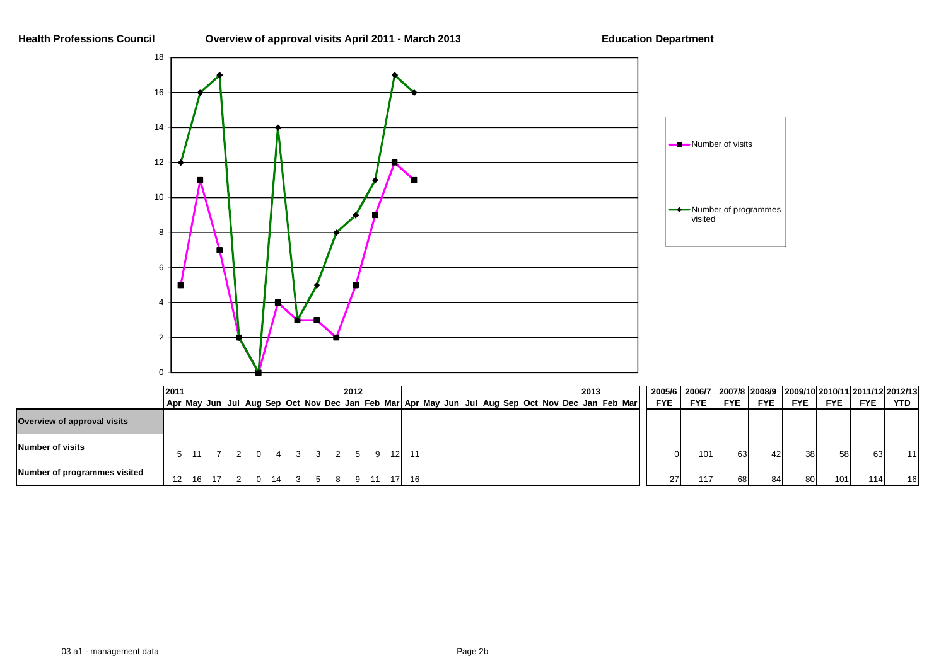

|                              | 2011 |                              |       |                         |  |  | 2012 |  |  |  |  |  | 2013                                                                                            |            |                 |            |            |            |            |            | 2005/6   2006/7   2007/8  2008/9    2009/10  2010/11  2011/12  2012/13 |
|------------------------------|------|------------------------------|-------|-------------------------|--|--|------|--|--|--|--|--|-------------------------------------------------------------------------------------------------|------------|-----------------|------------|------------|------------|------------|------------|------------------------------------------------------------------------|
|                              |      |                              |       |                         |  |  |      |  |  |  |  |  | Apr May Jun Jul Aug Sep Oct Nov Dec Jan Feb Mar Apr May Jun Jul Aug Sep Oct Nov Dec Jan Feb Mar | <b>FYE</b> | <b>FYE</b>      | <b>FYE</b> | <b>FYE</b> | <b>FYE</b> | <b>FYE</b> | <b>FYE</b> | YTD I                                                                  |
| Overview of approval visits  |      |                              |       |                         |  |  |      |  |  |  |  |  |                                                                                                 |            |                 |            |            |            |            |            |                                                                        |
| Number of visits             |      | 5 11 7 2 0 4 3 3 2 5 9 12 11 |       |                         |  |  |      |  |  |  |  |  |                                                                                                 |            | 101<br>$\Omega$ | 63         | 42         | 38I        | 58         | 63         | 11                                                                     |
| Number of programmes visited |      |                              | 16 17 | 2 0 14 3 5 8 9 11 17 16 |  |  |      |  |  |  |  |  |                                                                                                 | 27         | 117             | 68         | -84I       | 80         | 101        | 114.       | 16                                                                     |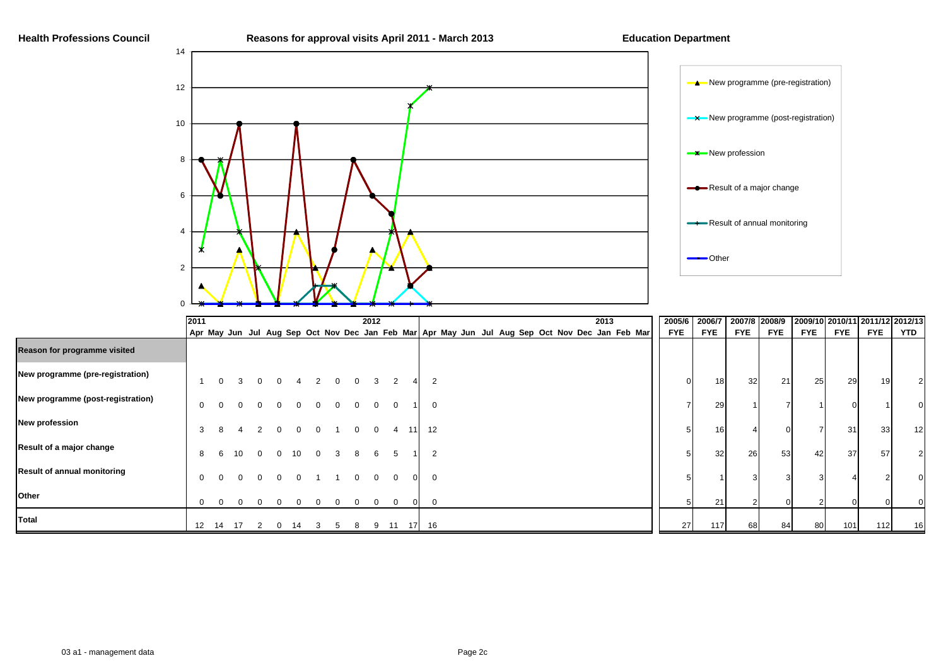

|                                    | 2011         |          |      |          |          |          |          |          | 2012     |                |        |                |  |  |  |  | 2013 |                                                                                                 | 2005/6 2006/7 |                 |                 | 2007/8 2008/9 |     |            |            | 2009/10 2010/11 2011/12 2012/13 |
|------------------------------------|--------------|----------|------|----------|----------|----------|----------|----------|----------|----------------|--------|----------------|--|--|--|--|------|-------------------------------------------------------------------------------------------------|---------------|-----------------|-----------------|---------------|-----|------------|------------|---------------------------------|
|                                    |              |          |      |          |          |          |          |          |          |                |        |                |  |  |  |  |      | Apr May Jun Jul Aug Sep Oct Nov Dec Jan Feb Mar Apr May Jun Jul Aug Sep Oct Nov Dec Jan Feb Mar | <b>FYE</b>    | <b>FYE</b>      | <b>FYE</b>      | <b>FYE</b>    | FYE | <b>FYE</b> | <b>FYE</b> | YTD                             |
| Reason for programme visited       |              |          |      |          |          |          |          |          |          |                |        |                |  |  |  |  |      |                                                                                                 |               |                 |                 |               |     |            |            |                                 |
| New programme (pre-registration)   |              | $\Omega$ |      |          |          |          | $\Omega$ |          | 3        | 2              |        | $\overline{2}$ |  |  |  |  |      |                                                                                                 | $\Omega$      | 18              | 32 <sup>°</sup> | 21            | 25  | 29         | 19         |                                 |
| New programme (post-registration)  | $\mathbf{0}$ |          |      |          |          |          |          |          |          | $\Omega$       |        | 0              |  |  |  |  |      |                                                                                                 |               | 29              |                 |               |     |            |            |                                 |
| <b>New profession</b>              | 3            |          |      |          | $\Omega$ | റ        |          | $\Omega$ | $\Omega$ | $\overline{4}$ | - 11 I | 12             |  |  |  |  |      |                                                                                                 |               | 16              |                 |               |     | 31         | 33         | 12                              |
| Result of a major change           | 8            |          | 10   | $\Omega$ | 10       | $\Omega$ | 3        | 8        | 6        | 5              |        | $\overline{2}$ |  |  |  |  |      |                                                                                                 |               | 32 <sub>l</sub> | 26              | 53            | 42  | 37         | 57         | 2                               |
| <b>Result of annual monitoring</b> | $\mathbf{0}$ |          |      |          |          |          |          |          | $\Omega$ | $\Omega$       |        | $\mathbf 0$    |  |  |  |  |      |                                                                                                 |               |                 |                 |               |     |            |            |                                 |
| Other                              | $\Omega$     |          |      |          |          |          |          |          | 0        | $\Omega$       |        | $\Omega$       |  |  |  |  |      |                                                                                                 |               | 21              |                 |               |     |            |            |                                 |
| Total                              |              | 12 14    | - 17 |          | 14       |          | 5        | 8        |          | 9 11           |        | 17 16          |  |  |  |  |      |                                                                                                 | 27            | 117             | 68              | 84            | 80  | 101        | 112        | 16                              |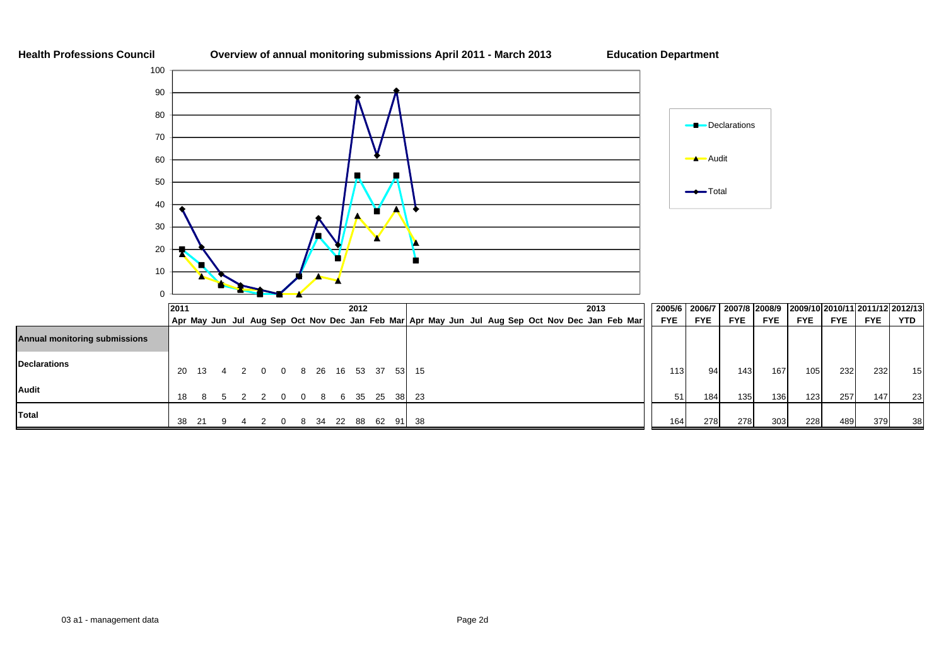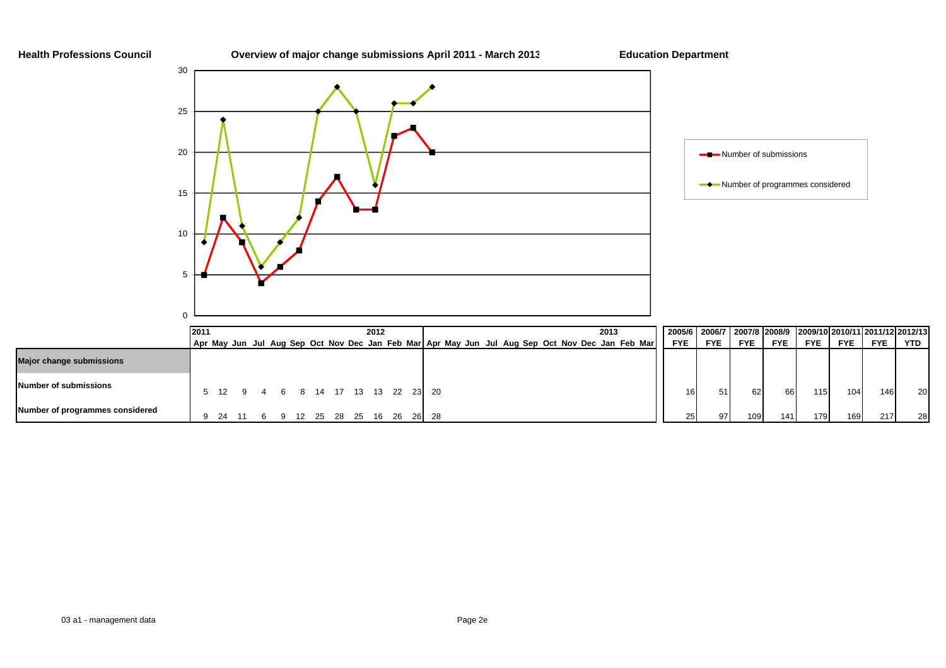